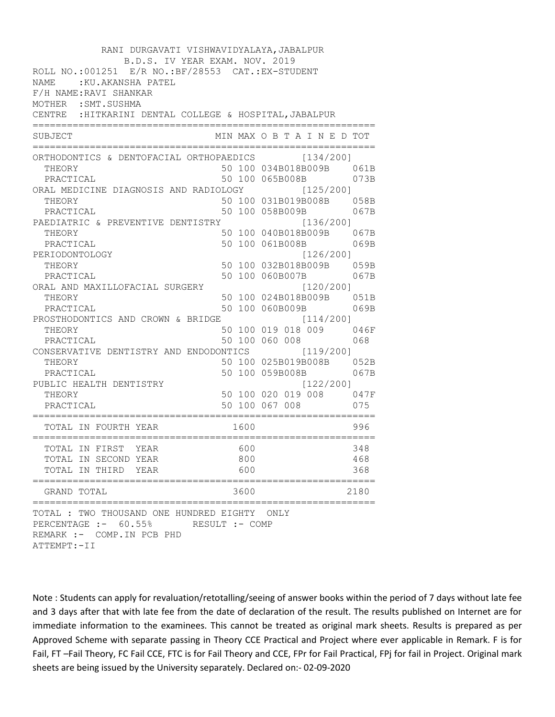| RANI DURGAVATI VISHWAVIDYALAYA, JABALPUR                                                                                                   |  |      |                  |  |  |  |  |                             |
|--------------------------------------------------------------------------------------------------------------------------------------------|--|------|------------------|--|--|--|--|-----------------------------|
| B.D.S. IV YEAR EXAM. NOV. 2019<br>ROLL NO.:001251 E/R NO.: BF/28553 CAT.: EX-STUDENT<br>NAME : KU. AKANSHA PATEL<br>F/H NAME: RAVI SHANKAR |  |      |                  |  |  |  |  |                             |
| MOTHER : SMT. SUSHMA                                                                                                                       |  |      |                  |  |  |  |  |                             |
| CENTRE : HITKARINI DENTAL COLLEGE & HOSPITAL, JABALPUR                                                                                     |  |      |                  |  |  |  |  |                             |
| =======================<br>SUBJECT                                                                                                         |  |      |                  |  |  |  |  | MIN MAX O B T A I N E D TOT |
| ORTHODONTICS & DENTOFACIAL ORTHOPAEDICS [134/200]                                                                                          |  |      |                  |  |  |  |  |                             |
| THEORY                                                                                                                                     |  |      |                  |  |  |  |  | 50 100 034B018B009B 061B    |
| PRACTICAL                                                                                                                                  |  |      | 50 100 065B008B  |  |  |  |  | 073B                        |
| ORAL MEDICINE DIAGNOSIS AND RADIOLOGY [125/200]                                                                                            |  |      |                  |  |  |  |  |                             |
| THEORY                                                                                                                                     |  |      |                  |  |  |  |  | 50 100 031B019B008B 058B    |
| PRACTICAL                                                                                                                                  |  |      | 50 100 058B009B  |  |  |  |  | 067B                        |
| PAEDIATRIC & PREVENTIVE DENTISTRY                                                                                                          |  |      |                  |  |  |  |  | [136/200]                   |
| THEORY                                                                                                                                     |  |      |                  |  |  |  |  | 50 100 040B018B009B 067B    |
| PRACTICAL                                                                                                                                  |  |      | 50 100 061B008B  |  |  |  |  | 069B<br>[126/200]           |
| PERIODONTOLOGY<br>THEORY                                                                                                                   |  |      |                  |  |  |  |  | 50 100 032B018B009B 059B    |
| PRACTICAL                                                                                                                                  |  |      | 50 100 060B007B  |  |  |  |  | 067B                        |
| ORAL AND MAXILLOFACIAL SURGERY                                                                                                             |  |      |                  |  |  |  |  | [120/200]                   |
| THEORY                                                                                                                                     |  |      |                  |  |  |  |  | 50 100 024B018B009B 051B    |
| PRACTICAL                                                                                                                                  |  |      | 50 100 060B009B  |  |  |  |  | 069B                        |
| PROSTHODONTICS AND CROWN & BRIDGE [114/200]                                                                                                |  |      |                  |  |  |  |  |                             |
| THEORY                                                                                                                                     |  |      |                  |  |  |  |  | 50 100 019 018 009 046F     |
| PRACTICAL                                                                                                                                  |  |      |                  |  |  |  |  | 50 100 060 008 068          |
| CONSERVATIVE DENTISTRY AND ENDODONTICS [119/200]                                                                                           |  |      |                  |  |  |  |  |                             |
| THEORY                                                                                                                                     |  |      |                  |  |  |  |  | 50 100 025B019B008B 052B    |
| PRACTICAL                                                                                                                                  |  |      |                  |  |  |  |  | 50 100 059B008B 067B        |
| PUBLIC HEALTH DENTISTRY                                                                                                                    |  |      |                  |  |  |  |  | [122/200]                   |
| THEORY                                                                                                                                     |  |      |                  |  |  |  |  | 50 100 020 019 008 047F     |
| PRACTICAL                                                                                                                                  |  |      |                  |  |  |  |  | 50 100 067 008 075          |
| TOTAL IN FOURTH YEAR                                                                                                                       |  | 1600 |                  |  |  |  |  | 996                         |
| TOTAL IN FIRST<br>YEAR                                                                                                                     |  | 600  |                  |  |  |  |  | 348                         |
| TOTAL IN SECOND YEAR                                                                                                                       |  | 800  |                  |  |  |  |  | 468                         |
| TOTAL IN THIRD YEAR                                                                                                                        |  | 600  |                  |  |  |  |  | 368                         |
| =====================<br>GRAND TOTAL                                                                                                       |  | 3600 | ;=============== |  |  |  |  | 2180                        |
| TOTAL : TWO THOUSAND ONE HUNDRED EIGHTY ONLY<br>PERCENTAGE :- 60.55%<br>RESULT :- COMP<br>REMARK :- COMP. IN PCB PHD<br>ATTEMPT: - II      |  |      |                  |  |  |  |  |                             |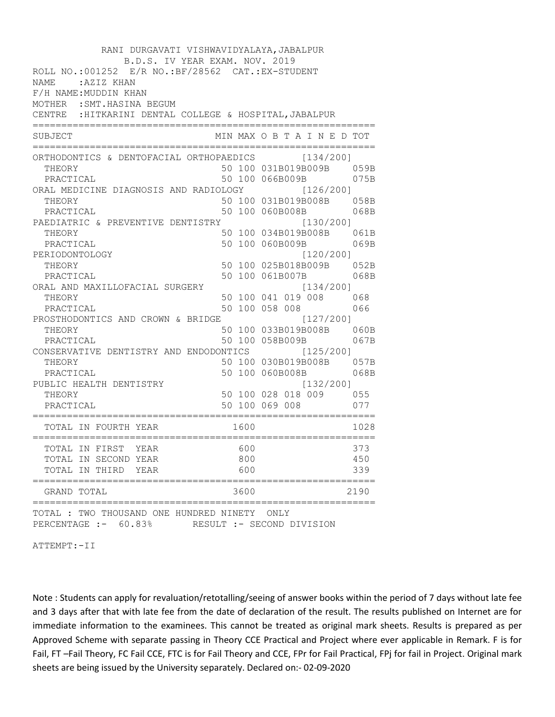| RANI DURGAVATI VISHWAVIDYALAYA, JABALPUR<br>B.D.S. IV YEAR EXAM. NOV. 2019<br>ROLL NO.:001252 E/R NO.: BF/28562 CAT.: EX-STUDENT<br>:AZIZ KHAN<br><b>NAME</b><br>F/H NAME: MUDDIN KHAN<br>MOTHER : SMT. HASINA BEGUM<br>CENTRE : HITKARINI DENTAL COLLEGE & HOSPITAL, JABALPUR |                   |                                                                       |                   |
|--------------------------------------------------------------------------------------------------------------------------------------------------------------------------------------------------------------------------------------------------------------------------------|-------------------|-----------------------------------------------------------------------|-------------------|
| :=======================<br>SUBJECT                                                                                                                                                                                                                                            |                   | MIN MAX O B T A I N E D TOT                                           |                   |
| ORTHODONTICS & DENTOFACIAL ORTHOPAEDICS [134/200]<br>THEORY<br>PRACTICAL<br>ORAL MEDICINE DIAGNOSIS AND RADIOLOGY [126/200]                                                                                                                                                    |                   | 50 100 031B019B009B 059B<br>50 100 066B009B                           | 075B              |
| THEORY<br>PRACTICAL<br>PAEDIATRIC & PREVENTIVE DENTISTRY                                                                                                                                                                                                                       |                   | 50 100 031B019B008B 058B<br>50 100 060B008B<br>[130/200]              | 068B              |
| THEORY<br>PRACTICAL                                                                                                                                                                                                                                                            |                   | 50 100 034B019B008B 061B<br>50 100 060B009B                           | 069B              |
| PERIODONTOLOGY<br>THEORY<br>PRACTICAL<br>ORAL AND MAXILLOFACIAL SURGERY                                                                                                                                                                                                        |                   | [120/200]<br>50 100 025B018B009B 052B<br>50 100 061B007B<br>[134/200] | 068B              |
| THEORY<br>PRACTICAL<br>PROSTHODONTICS AND CROWN & BRIDGE                                                                                                                                                                                                                       |                   | 50 100 041 019 008 068<br>50 100 058 008<br>[127/200]                 | 066               |
| THEORY<br>PRACTICAL<br>CONSERVATIVE DENTISTRY AND ENDODONTICS [125/200]                                                                                                                                                                                                        |                   | 50 100 033B019B008B 060B<br>50 100 058B009B                           | 067B              |
| THEORY<br>PRACTICAL<br>PUBLIC HEALTH DENTISTRY                                                                                                                                                                                                                                 |                   | 50 100 030B019B008B 057B<br>50 100 060B008B<br>[132/200]              | 068B              |
| THEORY<br>PRACTICAL                                                                                                                                                                                                                                                            |                   | 50 100 028 018 009 055<br>50 100 069 008 077                          |                   |
| TOTAL IN FOURTH YEAR                                                                                                                                                                                                                                                           | 1600              |                                                                       | 1028              |
| TOTAL IN FIRST<br>YEAR<br>TOTAL IN SECOND YEAR<br>TOTAL IN THIRD<br>YEAR                                                                                                                                                                                                       | 600<br>800<br>600 |                                                                       | 373<br>450<br>339 |
| GRAND TOTAL                                                                                                                                                                                                                                                                    | 3600              |                                                                       | 2190              |
| ============<br>TOTAL : TWO THOUSAND ONE HUNDRED NINETY<br>PERCENTAGE :- 60.83%                                                                                                                                                                                                |                   | ONLY<br>RESULT :- SECOND DIVISION                                     |                   |

ATTEMPT:-II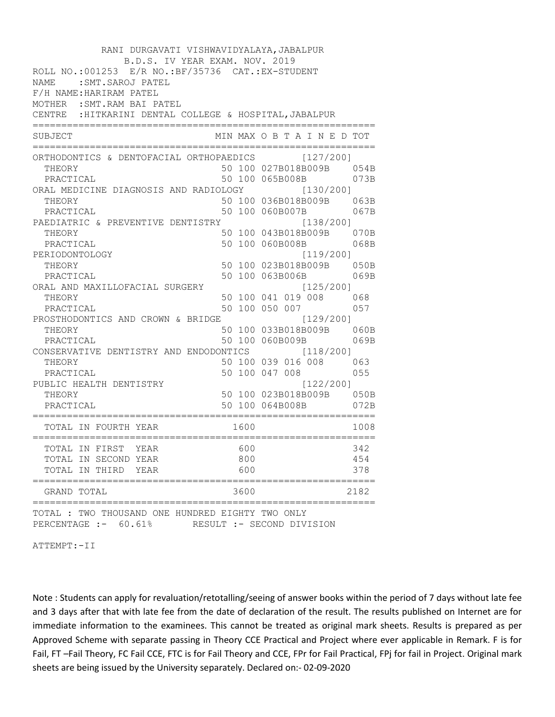| RANI DURGAVATI VISHWAVIDYALAYA, JABALPUR<br>B.D.S. IV YEAR EXAM. NOV. 2019<br>ROLL NO.: 001253 E/R NO.: BF/35736 CAT.: EX-STUDENT<br>NAME: SMT. SAROJ PATEL<br>F/H NAME: HARIRAM PATEL<br>MOTHER : SMT. RAM BAI PATEL<br>CENTRE : HITKARINI DENTAL COLLEGE & HOSPITAL, JABALPUR<br>======================= |                   |                                                               |                   |
|------------------------------------------------------------------------------------------------------------------------------------------------------------------------------------------------------------------------------------------------------------------------------------------------------------|-------------------|---------------------------------------------------------------|-------------------|
| SUBJECT                                                                                                                                                                                                                                                                                                    |                   | MIN MAX O B T A I N E D TOT                                   |                   |
| ORTHODONTICS & DENTOFACIAL ORTHOPAEDICS [127/200]<br>THEORY<br>PRACTICAL<br>ORAL MEDICINE DIAGNOSIS AND RADIOLOGY [130/200]                                                                                                                                                                                |                   | 50 100 027B018B009B 054B<br>50 100 065B008B                   | 073B              |
| THEORY<br>PRACTICAL<br>PAEDIATRIC & PREVENTIVE DENTISTRY                                                                                                                                                                                                                                                   |                   | 50 100 036B018B009B 063B<br>50 100 060B007B<br>[138/200]      | 067B              |
| THEORY<br>PRACTICAL                                                                                                                                                                                                                                                                                        |                   | 50 100 043B018B009B 070B<br>50 100 060B008B                   | 068B              |
| PERIODONTOLOGY<br>THEORY<br>PRACTICAL                                                                                                                                                                                                                                                                      |                   | [119/200]<br>50 100 023B018B009B 050B<br>50 100 063B006B      | 069B              |
| ORAL AND MAXILLOFACIAL SURGERY<br>THEORY<br>PRACTICAL                                                                                                                                                                                                                                                      |                   | [125/200]<br>50 100 041 019 008 068<br>50 100 050 007 057     |                   |
| PROSTHODONTICS AND CROWN & BRIDGE<br>THEORY<br>PRACTICAL                                                                                                                                                                                                                                                   |                   | [129/200]<br>50 100 033B018B009B 060B<br>50 100 060B009B      | 069B              |
| CONSERVATIVE DENTISTRY AND ENDODONTICS [118/200]<br>THEORY<br>PRACTICAL                                                                                                                                                                                                                                    |                   | 50 100 039 016 008 063<br>50 100 047 008 055                  |                   |
| PUBLIC HEALTH DENTISTRY<br>THEORY<br>PRACTICAL                                                                                                                                                                                                                                                             |                   | [122/200]<br>50 100 023B018B009B 050B<br>50 100 064B008B 072B |                   |
| TOTAL IN FOURTH YEAR                                                                                                                                                                                                                                                                                       | 1600              |                                                               | 1008              |
| TOTAL IN FIRST<br>YEAR<br>TOTAL IN SECOND YEAR<br>TOTAL IN THIRD YEAR                                                                                                                                                                                                                                      | 600<br>800<br>600 |                                                               | 342<br>454<br>378 |
| GRAND TOTAL                                                                                                                                                                                                                                                                                                | 3600              |                                                               | 2182              |
| TOTAL : TWO THOUSAND ONE HUNDRED EIGHTY TWO ONLY<br>PERCENTAGE :- 60.61% RESULT :- SECOND DIVISION                                                                                                                                                                                                         |                   |                                                               |                   |

ATTEMPT:-II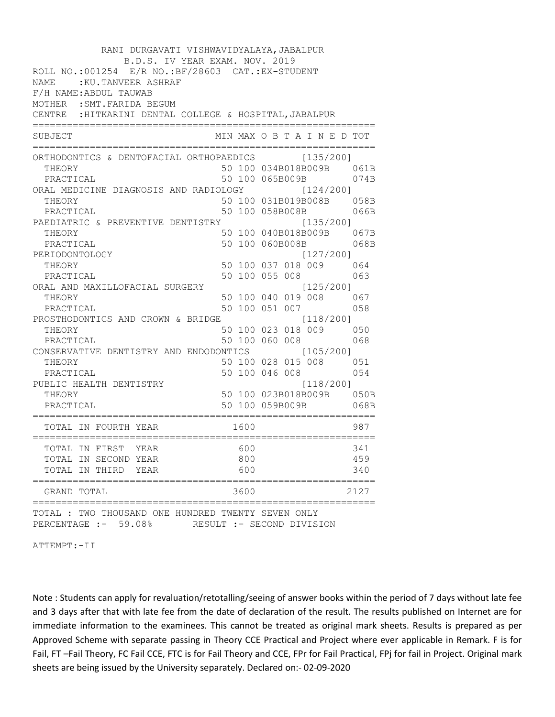| RANI DURGAVATI VISHWAVIDYALAYA, JABALPUR<br>B.D.S. IV YEAR EXAM. NOV. 2019<br>ROLL NO.: 001254 E/R NO.: BF/28603 CAT.: EX-STUDENT<br>NAME: : KU. TANVEER ASHRAF<br>F/H NAME: ABDUL TAUWAB<br>MOTHER : SMT. FARIDA BEGUM<br>CENTRE : HITKARINI DENTAL COLLEGE & HOSPITAL, JABALPUR<br>====================== |                   |  |                                                           |                                                              |
|-------------------------------------------------------------------------------------------------------------------------------------------------------------------------------------------------------------------------------------------------------------------------------------------------------------|-------------------|--|-----------------------------------------------------------|--------------------------------------------------------------|
| SUBJECT                                                                                                                                                                                                                                                                                                     |                   |  |                                                           | MIN MAX O B T A I N E D TOT                                  |
| ORTHODONTICS & DENTOFACIAL ORTHOPAEDICS [135/200]<br>THEORY<br>PRACTICAL<br>ORAL MEDICINE DIAGNOSIS AND RADIOLOGY [124/200]<br>THEORY                                                                                                                                                                       |                   |  | 50 100 065B009B                                           | 50 100 034B018B009B 061B<br>074B<br>50 100 031B019B008B 058B |
| PRACTICAL<br>PAEDIATRIC & PREVENTIVE DENTISTRY                                                                                                                                                                                                                                                              |                   |  | 50 100 058B008B                                           | 066B<br>[135/200]                                            |
| THEORY<br>PRACTICAL                                                                                                                                                                                                                                                                                         |                   |  | 50 100 060B008B                                           | 50 100 040B018B009B 067B<br>068B                             |
| PERIODONTOLOGY<br>THEORY<br>PRACTICAL                                                                                                                                                                                                                                                                       |                   |  | [127/200]<br>50 100 055 008 063                           | 50 100 037 018 009 064                                       |
| ORAL AND MAXILLOFACIAL SURGERY<br>THEORY<br>PRACTICAL                                                                                                                                                                                                                                                       |                   |  | [125/200]<br>50 100 040 019 008 067<br>50 100 051 007 058 |                                                              |
| PROSTHODONTICS AND CROWN & BRIDGE [118/200]<br>THEORY<br>PRACTICAL                                                                                                                                                                                                                                          |                   |  | 50 100 023 018 009 050<br>50 100 060 008                  | 068                                                          |
| CONSERVATIVE DENTISTRY AND ENDODONTICS [105/200]<br>THEORY<br>PRACTICAL                                                                                                                                                                                                                                     |                   |  |                                                           | 50 100 028 015 008 051<br>50 100 046 008 054                 |
| PUBLIC HEALTH DENTISTRY<br>THEORY<br>PRACTICAL                                                                                                                                                                                                                                                              |                   |  | [118/200]<br>50 100 059B009B                              | 50 100 023B018B009B 050B<br>068B                             |
| TOTAL IN FOURTH YEAR                                                                                                                                                                                                                                                                                        | 1600              |  |                                                           | 987                                                          |
| TOTAL IN FIRST<br>YEAR<br>TOTAL IN SECOND YEAR<br>TOTAL IN THIRD YEAR                                                                                                                                                                                                                                       | 600<br>800<br>600 |  |                                                           | 341<br>459<br>340                                            |
| GRAND TOTAL                                                                                                                                                                                                                                                                                                 | 3600              |  |                                                           | 2127                                                         |
| TOTAL : TWO THOUSAND ONE HUNDRED TWENTY SEVEN ONLY<br>PERCENTAGE :- 59.08%<br>RESULT :- SECOND DIVISION                                                                                                                                                                                                     |                   |  |                                                           |                                                              |

ATTEMPT:-II